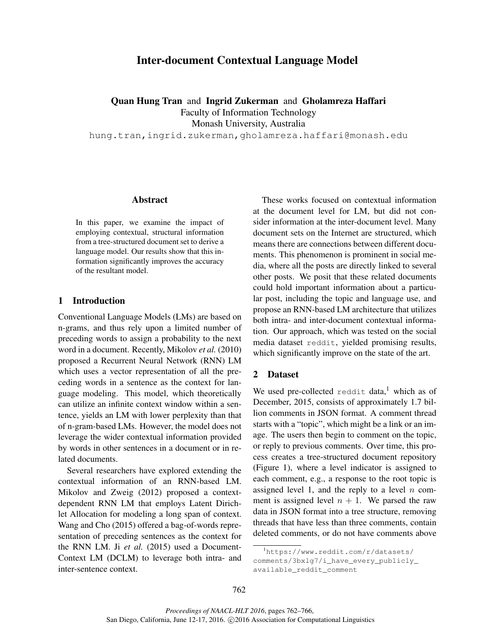# Inter-document Contextual Language Model

Quan Hung Tran and Ingrid Zukerman and Gholamreza Haffari Faculty of Information Technology Monash University, Australia hung.tran,ingrid.zukerman,gholamreza.haffari@monash.edu

## Abstract

In this paper, we examine the impact of employing contextual, structural information from a tree-structured document set to derive a language model. Our results show that this information significantly improves the accuracy of the resultant model.

### 1 Introduction

Conventional Language Models (LMs) are based on n-grams, and thus rely upon a limited number of preceding words to assign a probability to the next word in a document. Recently, Mikolov *et al.* (2010) proposed a Recurrent Neural Network (RNN) LM which uses a vector representation of all the preceding words in a sentence as the context for language modeling. This model, which theoretically can utilize an infinite context window within a sentence, yields an LM with lower perplexity than that of n-gram-based LMs. However, the model does not leverage the wider contextual information provided by words in other sentences in a document or in related documents.

Several researchers have explored extending the contextual information of an RNN-based LM. Mikolov and Zweig (2012) proposed a contextdependent RNN LM that employs Latent Dirichlet Allocation for modeling a long span of context. Wang and Cho (2015) offered a bag-of-words representation of preceding sentences as the context for the RNN LM. Ji *et al.* (2015) used a Document-Context LM (DCLM) to leverage both intra- and inter-sentence context.

These works focused on contextual information at the document level for LM, but did not consider information at the inter-document level. Many document sets on the Internet are structured, which means there are connections between different documents. This phenomenon is prominent in social media, where all the posts are directly linked to several other posts. We posit that these related documents could hold important information about a particular post, including the topic and language use, and propose an RNN-based LM architecture that utilizes both intra- and inter-document contextual information. Our approach, which was tested on the social media dataset reddit, yielded promising results, which significantly improve on the state of the art.

## 2 Dataset

We used pre-collected reddit data,<sup>1</sup> which as of December, 2015, consists of approximately 1.7 billion comments in JSON format. A comment thread starts with a "topic", which might be a link or an image. The users then begin to comment on the topic, or reply to previous comments. Over time, this process creates a tree-structured document repository (Figure 1), where a level indicator is assigned to each comment, e.g., a response to the root topic is assigned level 1, and the reply to a level  $n$  comment is assigned level  $n + 1$ . We parsed the raw data in JSON format into a tree structure, removing threads that have less than three comments, contain deleted comments, or do not have comments above

<sup>1</sup>https://www.reddit.com/r/datasets/ comments/3bxlg7/i\_have\_every\_publicly\_ available\_reddit\_comment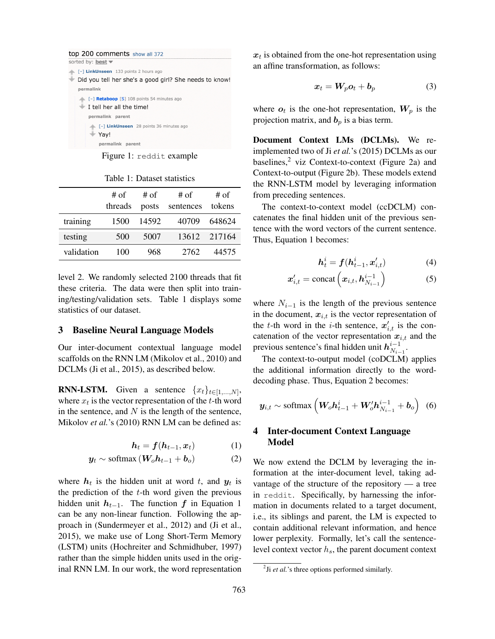| top 200 comments show all 372                          |
|--------------------------------------------------------|
| sorted by: best $\blacktriangledown$                   |
| [-] LinkUnseen 133 points 2 hours ago                  |
| Did you tell her she's a good girl? She needs to know! |
| permalink                                              |
| [-] <b>Retaboop</b> [S] 108 points 54 minutes ago      |
| $\blacksquare$ I tell her all the time!                |
| permalink parent                                       |
| [-] LinkUnseen 28 points 36 minutes ago                |
| Yav!                                                   |
| permalink parent                                       |

Figure 1: reddit example

#### Table 1: Dataset statistics

|            | # of<br>threads | # of<br>posts | # of<br>sentences | # of<br>tokens |
|------------|-----------------|---------------|-------------------|----------------|
| training   | 1500            | 14592         | 40709             | 648624         |
| testing    | 500             | 5007          |                   | 13612 217164   |
| validation | 100             | 968           | 2762              | 44575          |

level 2. We randomly selected 2100 threads that fit these criteria. The data were then split into training/testing/validation sets. Table 1 displays some statistics of our dataset.

#### 3 Baseline Neural Language Models

Our inter-document contextual language model scaffolds on the RNN LM (Mikolov et al., 2010) and DCLMs (Ji et al., 2015), as described below.

**RNN-LSTM.** Given a sentence  $\{x_t\}_{t\in[1,\dots,N]},$ where  $x_t$  is the vector representation of the t-th word in the sentence, and  $N$  is the length of the sentence, Mikolov *et al.*'s (2010) RNN LM can be defined as:

$$
\boldsymbol{h}_t = \boldsymbol{f}(\boldsymbol{h}_{t-1}, \boldsymbol{x}_t) \tag{1}
$$

$$
\mathbf{y}_t \sim \text{softmax}\left(\mathbf{W}_o \mathbf{h}_{t-1} + \mathbf{b}_o\right) \tag{2}
$$

where  $h_t$  is the hidden unit at word t, and  $y_t$  is the prediction of the  $t$ -th word given the previous hidden unit  $h_{t-1}$ . The function f in Equation 1 can be any non-linear function. Following the approach in (Sundermeyer et al., 2012) and (Ji et al., 2015), we make use of Long Short-Term Memory (LSTM) units (Hochreiter and Schmidhuber, 1997) rather than the simple hidden units used in the original RNN LM. In our work, the word representation

 $x_t$  is obtained from the one-hot representation using an affine transformation, as follows:

$$
x_t = W_p o_t + b_p \tag{3}
$$

where  $o_t$  is the one-hot representation,  $W_p$  is the projection matrix, and  $b_p$  is a bias term.

Document Context LMs (DCLMs). We reimplemented two of Ji *et al.*'s (2015) DCLMs as our baselines, $2$  viz Context-to-context (Figure 2a) and Context-to-output (Figure 2b). These models extend the RNN-LSTM model by leveraging information from preceding sentences.

The context-to-context model (ccDCLM) concatenates the final hidden unit of the previous sentence with the word vectors of the current sentence. Thus, Equation 1 becomes:

$$
\boldsymbol{h}_t^i = \boldsymbol{f}(\boldsymbol{h}_{t-1}^i, \boldsymbol{x}_{i,t}')
$$
 (4)

$$
\boldsymbol{x}_{i,t}^{\prime} = \text{concat}\left(\boldsymbol{x}_{i,t}, \boldsymbol{h}_{N_{i-1}}^{i-1}\right) \tag{5}
$$

where  $N_{i-1}$  is the length of the previous sentence in the document,  $x_{i,t}$  is the vector representation of the t-th word in the *i*-th sentence,  $x'_{i,t}$  is the concatenation of the vector representation  $x_{i,t}$  and the previous sentence's final hidden unit  $h_{N}^{i-1}$  $\frac{i-1}{N_{i-1}}$ .

The context-to-output model (coDCLM) applies the additional information directly to the worddecoding phase. Thus, Equation 2 becomes:

$$
\boldsymbol{y}_{i,t} \sim \text{softmax}\left(\boldsymbol{W}_o \boldsymbol{h}_{t-1}^i + \boldsymbol{W}_o' \boldsymbol{h}_{N_{i-1}}^{i-1} + \boldsymbol{b}_o\right) \tag{6}
$$

## 4 Inter-document Context Language Model

We now extend the DCLM by leveraging the information at the inter-document level, taking advantage of the structure of the repository — a tree in reddit. Specifically, by harnessing the information in documents related to a target document, i.e., its siblings and parent, the LM is expected to contain additional relevant information, and hence lower perplexity. Formally, let's call the sentencelevel context vector  $h_s$ , the parent document context

<sup>&</sup>lt;sup>2</sup>Ji *et al.*'s three options performed similarly.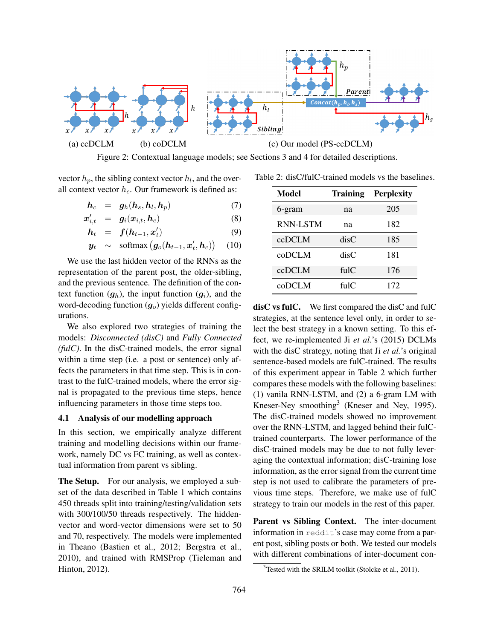

Figure 2: Contextual language models; see Sections 3 and 4 for detailed descriptions.

vector  $h_p$ , the sibling context vector  $h_l$ , and the overall context vector  $h_c$ . Our framework is defined as:

 $\boldsymbol{h}_c = \boldsymbol{g}_h(\boldsymbol{h}_s,\boldsymbol{h}_l,\boldsymbol{h}_p)$  (7)

$$
\boldsymbol{x}'_{i,t} = \boldsymbol{g}_i(\boldsymbol{x}_{i,t}, \boldsymbol{h}_c) \tag{8}
$$

$$
\boldsymbol{h}_t = \boldsymbol{f}(\boldsymbol{h}_{t-1}, \boldsymbol{x}'_t) \tag{9}
$$

$$
\boldsymbol{y}_t \sim \text{softmax}\left(\boldsymbol{g}_o(\boldsymbol{h}_{t-1}, \boldsymbol{x}'_t, \boldsymbol{h}_c)\right) \quad (10)
$$

We use the last hidden vector of the RNNs as the representation of the parent post, the older-sibling, and the previous sentence. The definition of the context function  $(g_h)$ , the input function  $(g_i)$ , and the word-decoding function  $(g<sub>o</sub>)$  yields different configurations.

We also explored two strategies of training the models: *Disconnected (disC)* and *Fully Connected (fulC)*. In the disC-trained models, the error signal within a time step (i.e. a post or sentence) only affects the parameters in that time step. This is in contrast to the fulC-trained models, where the error signal is propagated to the previous time steps, hence influencing parameters in those time steps too.

## 4.1 Analysis of our modelling approach

In this section, we empirically analyze different training and modelling decisions within our framework, namely DC vs FC training, as well as contextual information from parent vs sibling.

The Setup. For our analysis, we employed a subset of the data described in Table 1 which contains 450 threads split into training/testing/validation sets with 300/100/50 threads respectively. The hiddenvector and word-vector dimensions were set to 50 and 70, respectively. The models were implemented in Theano (Bastien et al., 2012; Bergstra et al., 2010), and trained with RMSProp (Tieleman and Hinton, 2012).

Table 2: disC/fulC-trained models vs the baselines.

| Model           | <b>Training</b>              | <b>Perplexity</b> |
|-----------------|------------------------------|-------------------|
| 6-gram          | na                           | 205               |
| <b>RNN-LSTM</b> | na                           | 182               |
| ccDCLM          | disC                         | 185               |
| coDCLM          | disC                         | 181               |
| ccDCLM          | fi1C                         | 176               |
| coDCLM          | $\mathrm{fu}$ l $\mathrm{C}$ | 172               |

disC vs fulC. We first compared the disC and fulC strategies, at the sentence level only, in order to select the best strategy in a known setting. To this effect, we re-implemented Ji *et al.*'s (2015) DCLMs with the disC strategy, noting that Ji *et al.*'s original sentence-based models are fulC-trained. The results of this experiment appear in Table 2 which further compares these models with the following baselines: (1) vanila RNN-LSTM, and (2) a 6-gram LM with Kneser-Ney smoothing<sup>3</sup> (Kneser and Ney, 1995). The disC-trained models showed no improvement over the RNN-LSTM, and lagged behind their fulCtrained counterparts. The lower performance of the disC-trained models may be due to not fully leveraging the contextual information; disC-training lose information, as the error signal from the current time step is not used to calibrate the parameters of previous time steps. Therefore, we make use of fulC strategy to train our models in the rest of this paper.

Parent vs Sibling Context. The inter-document information in reddit's case may come from a parent post, sibling posts or both. We tested our models with different combinations of inter-document con-

 $3$ Tested with the SRILM toolkit (Stolcke et al., 2011).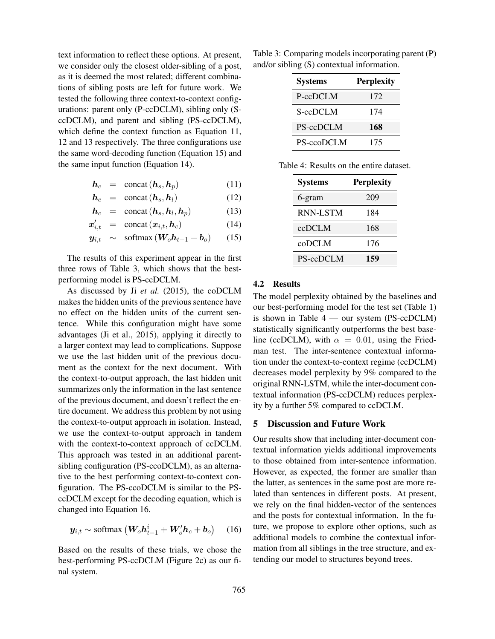text information to reflect these options. At present, we consider only the closest older-sibling of a post, as it is deemed the most related; different combinations of sibling posts are left for future work. We tested the following three context-to-context configurations: parent only (P-ccDCLM), sibling only (SccDCLM), and parent and sibling (PS-ccDCLM), which define the context function as Equation 11, 12 and 13 respectively. The three configurations use the same word-decoding function (Equation 15) and the same input function (Equation 14).

$$
h_c = \text{concat}(h_s, h_p) \tag{11}
$$

$$
h_c = \text{concat}(h_s, h_l) \tag{12}
$$

$$
h_c = \text{concat}(h_s, h_l, h_p) \tag{13}
$$

$$
\boldsymbol{x}'_{i,t} = \text{concat}(\boldsymbol{x}_{i,t}, \boldsymbol{h}_c) \tag{14}
$$

$$
\mathbf{y}_{i,t} \sim \text{softmax}(\mathbf{W}_o \mathbf{h}_{t-1} + \mathbf{b}_o) \qquad (15)
$$

The results of this experiment appear in the first three rows of Table 3, which shows that the bestperforming model is PS-ccDCLM.

As discussed by Ji *et al.* (2015), the coDCLM makes the hidden units of the previous sentence have no effect on the hidden units of the current sentence. While this configuration might have some advantages (Ji et al., 2015), applying it directly to a larger context may lead to complications. Suppose we use the last hidden unit of the previous document as the context for the next document. With the context-to-output approach, the last hidden unit summarizes only the information in the last sentence of the previous document, and doesn't reflect the entire document. We address this problem by not using the context-to-output approach in isolation. Instead, we use the context-to-output approach in tandem with the context-to-context approach of ccDCLM. This approach was tested in an additional parentsibling configuration (PS-ccoDCLM), as an alternative to the best performing context-to-context configuration. The PS-ccoDCLM is similar to the PSccDCLM except for the decoding equation, which is changed into Equation 16.

$$
\boldsymbol{y}_{i,t} \sim \text{softmax}\left(\boldsymbol{W}_o \boldsymbol{h}_{t-1}^i + \boldsymbol{W}_o' \boldsymbol{h}_c + \boldsymbol{b}_o\right) \quad (16)
$$

Based on the results of these trials, we chose the best-performing PS-ccDCLM (Figure 2c) as our final system.

Table 3: Comparing models incorporating parent (P) and/or sibling (S) contextual information.

| <b>Systems</b>   | <b>Perplexity</b> |
|------------------|-------------------|
| P-ccDCLM         | 172               |
| S-ccDCLM         | 174               |
| <b>PS-ccDCLM</b> | 168               |
| PS-ccoDCLM       | 175               |

| <b>Systems</b>  | <b>Perplexity</b> |
|-----------------|-------------------|
| 6-gram          | 209               |
| <b>RNN-LSTM</b> | 184               |
| ccDCLM          | 168               |
| coDCLM          | 176               |
| PS-ccDCLM       | 159               |

## 4.2 Results

The model perplexity obtained by the baselines and our best-performing model for the test set (Table 1) is shown in Table 4 — our system (PS-ccDCLM) statistically significantly outperforms the best baseline (ccDCLM), with  $\alpha = 0.01$ , using the Friedman test. The inter-sentence contextual information under the context-to-context regime (ccDCLM) decreases model perplexity by 9% compared to the original RNN-LSTM, while the inter-document contextual information (PS-ccDCLM) reduces perplexity by a further 5% compared to ccDCLM.

#### 5 Discussion and Future Work

Our results show that including inter-document contextual information yields additional improvements to those obtained from inter-sentence information. However, as expected, the former are smaller than the latter, as sentences in the same post are more related than sentences in different posts. At present, we rely on the final hidden-vector of the sentences and the posts for contextual information. In the future, we propose to explore other options, such as additional models to combine the contextual information from all siblings in the tree structure, and extending our model to structures beyond trees.